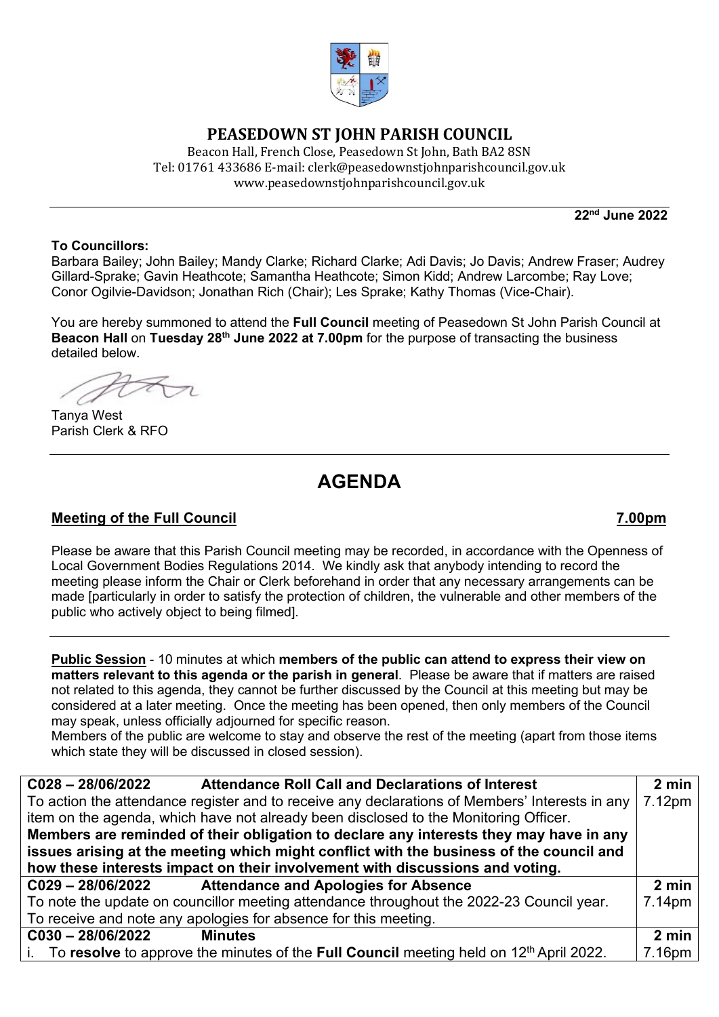

# **PEASEDOWN ST JOHN PARISH COUNCIL**

Beacon Hall, French Close, Peasedown St John, Bath BA2 8SN Tel: 01761 433686 E-mail: clerk@peasedownstjohnparishcouncil.gov.uk [www.peasedownstjohnparishcouncil.gov.uk](http://www.peasedownstjohnparishcouncil.gov.uk/)

**22nd June 2022** 

### **To Councillors:**

Barbara Bailey; John Bailey; Mandy Clarke; Richard Clarke; Adi Davis; Jo Davis; Andrew Fraser; Audrey Gillard-Sprake; Gavin Heathcote; Samantha Heathcote; Simon Kidd; Andrew Larcombe; Ray Love; Conor Ogilvie-Davidson; Jonathan Rich (Chair); Les Sprake; Kathy Thomas (Vice-Chair).

You are hereby summoned to attend the **Full Council** meeting of Peasedown St John Parish Council at **Beacon Hall** on **Tuesday 28th June 2022 at 7.00pm** for the purpose of transacting the business detailed below.

Tanya West Parish Clerk & RFO

# **AGENDA**

## **Meeting of the Full Council 7.00pm**

Please be aware that this Parish Council meeting may be recorded, in accordance with the Openness of Local Government Bodies Regulations 2014. We kindly ask that anybody intending to record the meeting please inform the Chair or Clerk beforehand in order that any necessary arrangements can be made [particularly in order to satisfy the protection of children, the vulnerable and other members of the public who actively object to being filmed].

**Public Session** - 10 minutes at which **members of the public can attend to express their view on matters relevant to this agenda or the parish in general**. Please be aware that if matters are raised not related to this agenda, they cannot be further discussed by the Council at this meeting but may be considered at a later meeting. Once the meeting has been opened, then only members of the Council may speak, unless officially adjourned for specific reason.

Members of the public are welcome to stay and observe the rest of the meeting (apart from those items which state they will be discussed in closed session).

| $C028 - 28/06/2022$<br><b>Attendance Roll Call and Declarations of Interest</b>                | $2 \text{ min}$ |  |
|------------------------------------------------------------------------------------------------|-----------------|--|
| To action the attendance register and to receive any declarations of Members' Interests in any |                 |  |
| item on the agenda, which have not already been disclosed to the Monitoring Officer.           |                 |  |
| Members are reminded of their obligation to declare any interests they may have in any         |                 |  |
| issues arising at the meeting which might conflict with the business of the council and        |                 |  |
| how these interests impact on their involvement with discussions and voting.                   |                 |  |
| <b>Attendance and Apologies for Absence</b><br>C029-28/06/2022                                 | 2 min           |  |
| To note the update on councillor meeting attendance throughout the 2022-23 Council year.       | 7.14pm          |  |
| To receive and note any apologies for absence for this meeting.                                |                 |  |
| $C030 - 28/06/2022$<br><b>Minutes</b>                                                          | $2 \text{ min}$ |  |
| i. To resolve to approve the minutes of the Full Council meeting held on $12th$ April 2022.    | 7.16pm          |  |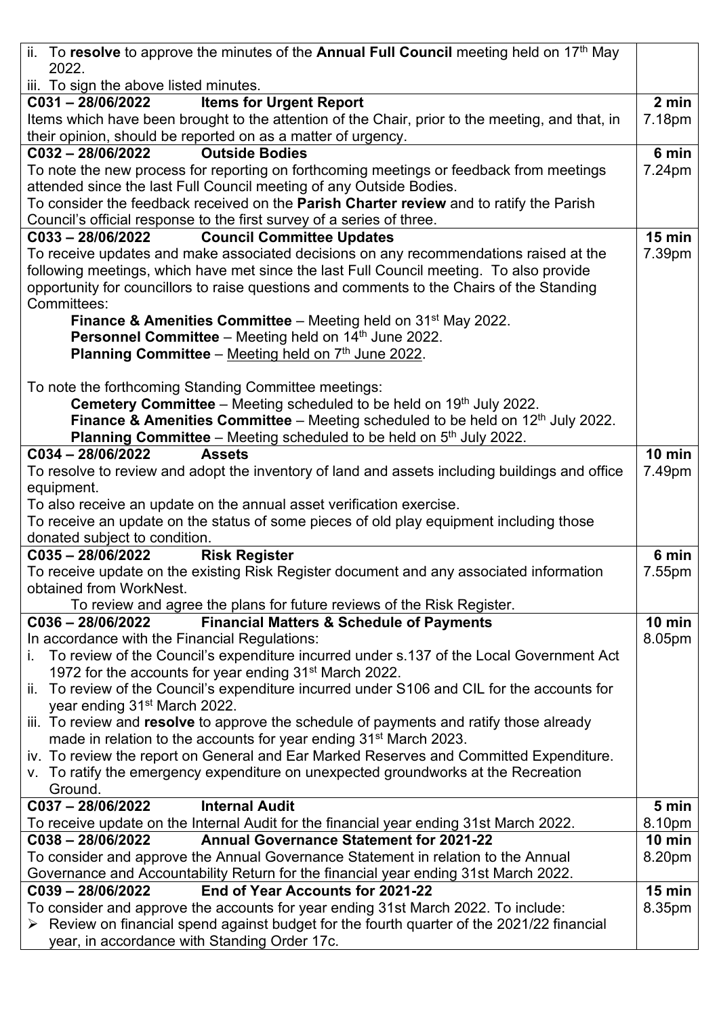| ii. To resolve to approve the minutes of the Annual Full Council meeting held on $17th$ May               |                  |  |
|-----------------------------------------------------------------------------------------------------------|------------------|--|
| 2022.                                                                                                     |                  |  |
| iii. To sign the above listed minutes.                                                                    |                  |  |
| <b>Items for Urgent Report</b><br>$C031 - 28/06/2022$                                                     | 2 min            |  |
| Items which have been brought to the attention of the Chair, prior to the meeting, and that, in           | 7.18pm           |  |
| their opinion, should be reported on as a matter of urgency.                                              |                  |  |
| <b>Outside Bodies</b><br>C032-28/06/2022                                                                  | 6 min<br>7.24pm  |  |
| To note the new process for reporting on forthcoming meetings or feedback from meetings                   |                  |  |
| attended since the last Full Council meeting of any Outside Bodies.                                       |                  |  |
| To consider the feedback received on the <b>Parish Charter review</b> and to ratify the Parish            |                  |  |
| Council's official response to the first survey of a series of three.<br>$C033 - 28/06/2022$              | $15$ min         |  |
| <b>Council Committee Updates</b>                                                                          |                  |  |
| To receive updates and make associated decisions on any recommendations raised at the                     | 7.39pm           |  |
| following meetings, which have met since the last Full Council meeting. To also provide                   |                  |  |
| opportunity for councillors to raise questions and comments to the Chairs of the Standing<br>Committees:  |                  |  |
| <b>Finance &amp; Amenities Committee</b> – Meeting held on $31st$ May 2022.                               |                  |  |
| Personnel Committee - Meeting held on 14th June 2022.                                                     |                  |  |
| Planning Committee - Meeting held on 7th June 2022.                                                       |                  |  |
|                                                                                                           |                  |  |
| To note the forthcoming Standing Committee meetings:                                                      |                  |  |
| <b>Cemetery Committee</b> – Meeting scheduled to be held on $19th$ July 2022.                             |                  |  |
| <b>Finance &amp; Amenities Committee</b> – Meeting scheduled to be held on $12th$ July 2022.              |                  |  |
| <b>Planning Committee</b> – Meeting scheduled to be held on $5th$ July 2022.                              |                  |  |
| C034-28/06/2022<br><b>Assets</b>                                                                          | <b>10 min</b>    |  |
| To resolve to review and adopt the inventory of land and assets including buildings and office            | 7.49pm           |  |
| equipment.                                                                                                |                  |  |
| To also receive an update on the annual asset verification exercise.                                      |                  |  |
| To receive an update on the status of some pieces of old play equipment including those                   |                  |  |
| donated subject to condition.                                                                             |                  |  |
| <b>Risk Register</b><br>$C035 - 28/06/2022$                                                               | 6 min            |  |
| To receive update on the existing Risk Register document and any associated information                   | 7.55pm           |  |
| obtained from WorkNest.                                                                                   |                  |  |
| To review and agree the plans for future reviews of the Risk Register.                                    |                  |  |
| $C036 - 28/06/2022$<br><b>Financial Matters &amp; Schedule of Payments</b>                                | $10$ min         |  |
| In accordance with the Financial Regulations:                                                             | 8.05pm           |  |
| To review of the Council's expenditure incurred under s.137 of the Local Government Act<br>i.             |                  |  |
| 1972 for the accounts for year ending 31 <sup>st</sup> March 2022.                                        |                  |  |
| ii. To review of the Council's expenditure incurred under S106 and CIL for the accounts for               |                  |  |
| year ending 31 <sup>st</sup> March 2022.                                                                  |                  |  |
| iii. To review and resolve to approve the schedule of payments and ratify those already                   |                  |  |
| made in relation to the accounts for year ending 31 <sup>st</sup> March 2023.                             |                  |  |
| iv. To review the report on General and Ear Marked Reserves and Committed Expenditure.                    |                  |  |
| v. To ratify the emergency expenditure on unexpected groundworks at the Recreation                        |                  |  |
| Ground.                                                                                                   |                  |  |
| C037-28/06/2022<br><b>Internal Audit</b>                                                                  | 5 min            |  |
| To receive update on the Internal Audit for the financial year ending 31st March 2022.                    | 8.10pm           |  |
| <b>Annual Governance Statement for 2021-22</b><br>$C038 - 28/06/2022$                                     | $10 \text{ min}$ |  |
| To consider and approve the Annual Governance Statement in relation to the Annual                         | 8.20pm           |  |
| Governance and Accountability Return for the financial year ending 31st March 2022.                       |                  |  |
| End of Year Accounts for 2021-22<br>$C039 - 28/06/2022$                                                   | <b>15 min</b>    |  |
| To consider and approve the accounts for year ending 31st March 2022. To include:                         | 8.35pm           |  |
| $\triangleright$ Review on financial spend against budget for the fourth quarter of the 2021/22 financial |                  |  |
| year, in accordance with Standing Order 17c.                                                              |                  |  |
|                                                                                                           |                  |  |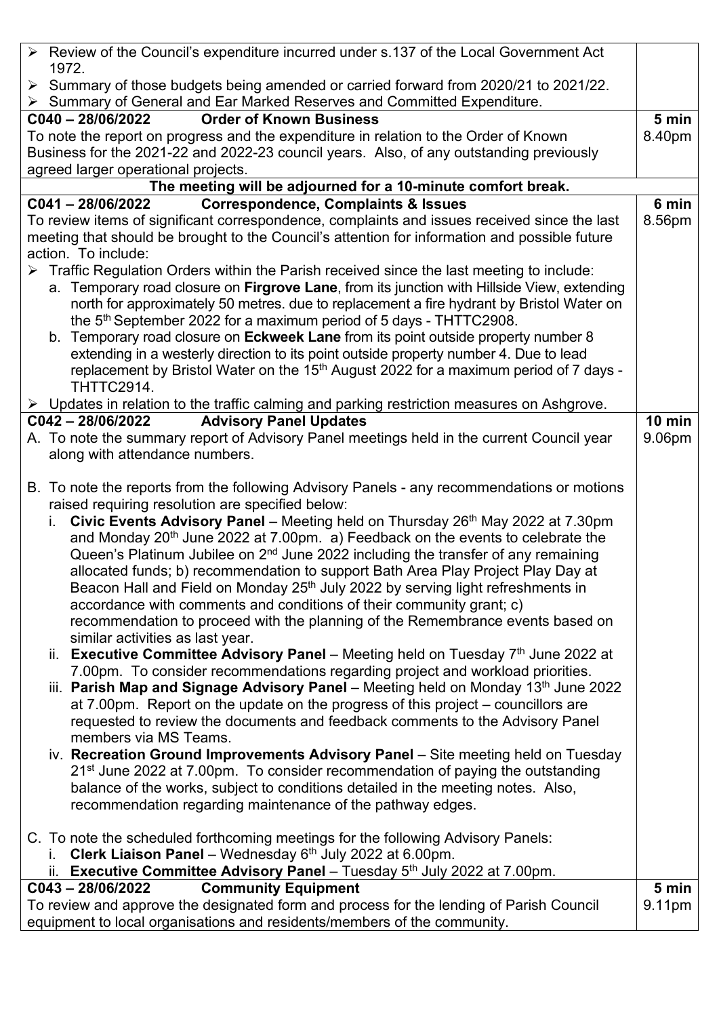| > Review of the Council's expenditure incurred under s.137 of the Local Government Act<br>1972.                                                                                                                                                                                                                                                                                                                                                                                                                                                                                                                                                                                                                                                                                                                                                                                                                                                                                                                                                                                                                                                                                                                                                                                                                                                                                                                                                                                                                                                                                                                                                                                                                           |               |  |
|---------------------------------------------------------------------------------------------------------------------------------------------------------------------------------------------------------------------------------------------------------------------------------------------------------------------------------------------------------------------------------------------------------------------------------------------------------------------------------------------------------------------------------------------------------------------------------------------------------------------------------------------------------------------------------------------------------------------------------------------------------------------------------------------------------------------------------------------------------------------------------------------------------------------------------------------------------------------------------------------------------------------------------------------------------------------------------------------------------------------------------------------------------------------------------------------------------------------------------------------------------------------------------------------------------------------------------------------------------------------------------------------------------------------------------------------------------------------------------------------------------------------------------------------------------------------------------------------------------------------------------------------------------------------------------------------------------------------------|---------------|--|
| ▶ Summary of those budgets being amended or carried forward from 2020/21 to 2021/22.<br>$\triangleright$ Summary of General and Ear Marked Reserves and Committed Expenditure.                                                                                                                                                                                                                                                                                                                                                                                                                                                                                                                                                                                                                                                                                                                                                                                                                                                                                                                                                                                                                                                                                                                                                                                                                                                                                                                                                                                                                                                                                                                                            |               |  |
| <b>Order of Known Business</b><br>$C040 - 28/06/2022$                                                                                                                                                                                                                                                                                                                                                                                                                                                                                                                                                                                                                                                                                                                                                                                                                                                                                                                                                                                                                                                                                                                                                                                                                                                                                                                                                                                                                                                                                                                                                                                                                                                                     | 5 min         |  |
| To note the report on progress and the expenditure in relation to the Order of Known                                                                                                                                                                                                                                                                                                                                                                                                                                                                                                                                                                                                                                                                                                                                                                                                                                                                                                                                                                                                                                                                                                                                                                                                                                                                                                                                                                                                                                                                                                                                                                                                                                      | 8.40pm        |  |
| Business for the 2021-22 and 2022-23 council years. Also, of any outstanding previously                                                                                                                                                                                                                                                                                                                                                                                                                                                                                                                                                                                                                                                                                                                                                                                                                                                                                                                                                                                                                                                                                                                                                                                                                                                                                                                                                                                                                                                                                                                                                                                                                                   |               |  |
| agreed larger operational projects.                                                                                                                                                                                                                                                                                                                                                                                                                                                                                                                                                                                                                                                                                                                                                                                                                                                                                                                                                                                                                                                                                                                                                                                                                                                                                                                                                                                                                                                                                                                                                                                                                                                                                       |               |  |
| The meeting will be adjourned for a 10-minute comfort break.                                                                                                                                                                                                                                                                                                                                                                                                                                                                                                                                                                                                                                                                                                                                                                                                                                                                                                                                                                                                                                                                                                                                                                                                                                                                                                                                                                                                                                                                                                                                                                                                                                                              |               |  |
| <b>Correspondence, Complaints &amp; Issues</b><br>$C041 - 28/06/2022$                                                                                                                                                                                                                                                                                                                                                                                                                                                                                                                                                                                                                                                                                                                                                                                                                                                                                                                                                                                                                                                                                                                                                                                                                                                                                                                                                                                                                                                                                                                                                                                                                                                     | 6 min         |  |
| To review items of significant correspondence, complaints and issues received since the last                                                                                                                                                                                                                                                                                                                                                                                                                                                                                                                                                                                                                                                                                                                                                                                                                                                                                                                                                                                                                                                                                                                                                                                                                                                                                                                                                                                                                                                                                                                                                                                                                              | 8.56pm        |  |
| meeting that should be brought to the Council's attention for information and possible future                                                                                                                                                                                                                                                                                                                                                                                                                                                                                                                                                                                                                                                                                                                                                                                                                                                                                                                                                                                                                                                                                                                                                                                                                                                                                                                                                                                                                                                                                                                                                                                                                             |               |  |
| action. To include:                                                                                                                                                                                                                                                                                                                                                                                                                                                                                                                                                                                                                                                                                                                                                                                                                                                                                                                                                                                                                                                                                                                                                                                                                                                                                                                                                                                                                                                                                                                                                                                                                                                                                                       |               |  |
| > Traffic Regulation Orders within the Parish received since the last meeting to include:                                                                                                                                                                                                                                                                                                                                                                                                                                                                                                                                                                                                                                                                                                                                                                                                                                                                                                                                                                                                                                                                                                                                                                                                                                                                                                                                                                                                                                                                                                                                                                                                                                 |               |  |
| a. Temporary road closure on Firgrove Lane, from its junction with Hillside View, extending                                                                                                                                                                                                                                                                                                                                                                                                                                                                                                                                                                                                                                                                                                                                                                                                                                                                                                                                                                                                                                                                                                                                                                                                                                                                                                                                                                                                                                                                                                                                                                                                                               |               |  |
| north for approximately 50 metres. due to replacement a fire hydrant by Bristol Water on                                                                                                                                                                                                                                                                                                                                                                                                                                                                                                                                                                                                                                                                                                                                                                                                                                                                                                                                                                                                                                                                                                                                                                                                                                                                                                                                                                                                                                                                                                                                                                                                                                  |               |  |
| the $5th$ September 2022 for a maximum period of 5 days - THTTC2908.                                                                                                                                                                                                                                                                                                                                                                                                                                                                                                                                                                                                                                                                                                                                                                                                                                                                                                                                                                                                                                                                                                                                                                                                                                                                                                                                                                                                                                                                                                                                                                                                                                                      |               |  |
| b. Temporary road closure on Eckweek Lane from its point outside property number 8                                                                                                                                                                                                                                                                                                                                                                                                                                                                                                                                                                                                                                                                                                                                                                                                                                                                                                                                                                                                                                                                                                                                                                                                                                                                                                                                                                                                                                                                                                                                                                                                                                        |               |  |
|                                                                                                                                                                                                                                                                                                                                                                                                                                                                                                                                                                                                                                                                                                                                                                                                                                                                                                                                                                                                                                                                                                                                                                                                                                                                                                                                                                                                                                                                                                                                                                                                                                                                                                                           |               |  |
| extending in a westerly direction to its point outside property number 4. Due to lead                                                                                                                                                                                                                                                                                                                                                                                                                                                                                                                                                                                                                                                                                                                                                                                                                                                                                                                                                                                                                                                                                                                                                                                                                                                                                                                                                                                                                                                                                                                                                                                                                                     |               |  |
| replacement by Bristol Water on the 15 <sup>th</sup> August 2022 for a maximum period of 7 days -                                                                                                                                                                                                                                                                                                                                                                                                                                                                                                                                                                                                                                                                                                                                                                                                                                                                                                                                                                                                                                                                                                                                                                                                                                                                                                                                                                                                                                                                                                                                                                                                                         |               |  |
| THTTC2914.                                                                                                                                                                                                                                                                                                                                                                                                                                                                                                                                                                                                                                                                                                                                                                                                                                                                                                                                                                                                                                                                                                                                                                                                                                                                                                                                                                                                                                                                                                                                                                                                                                                                                                                |               |  |
| $\triangleright$ Updates in relation to the traffic calming and parking restriction measures on Ashgrove.<br><b>Advisory Panel Updates</b><br>C042-28/06/2022                                                                                                                                                                                                                                                                                                                                                                                                                                                                                                                                                                                                                                                                                                                                                                                                                                                                                                                                                                                                                                                                                                                                                                                                                                                                                                                                                                                                                                                                                                                                                             | <b>10 min</b> |  |
|                                                                                                                                                                                                                                                                                                                                                                                                                                                                                                                                                                                                                                                                                                                                                                                                                                                                                                                                                                                                                                                                                                                                                                                                                                                                                                                                                                                                                                                                                                                                                                                                                                                                                                                           |               |  |
| A. To note the summary report of Advisory Panel meetings held in the current Council year                                                                                                                                                                                                                                                                                                                                                                                                                                                                                                                                                                                                                                                                                                                                                                                                                                                                                                                                                                                                                                                                                                                                                                                                                                                                                                                                                                                                                                                                                                                                                                                                                                 | 9.06pm        |  |
| along with attendance numbers.                                                                                                                                                                                                                                                                                                                                                                                                                                                                                                                                                                                                                                                                                                                                                                                                                                                                                                                                                                                                                                                                                                                                                                                                                                                                                                                                                                                                                                                                                                                                                                                                                                                                                            |               |  |
| B. To note the reports from the following Advisory Panels - any recommendations or motions<br>raised requiring resolution are specified below:<br>Civic Events Advisory Panel - Meeting held on Thursday 26 <sup>th</sup> May 2022 at 7.30pm<br>i.<br>and Monday 20 <sup>th</sup> June 2022 at 7.00pm. a) Feedback on the events to celebrate the<br>Queen's Platinum Jubilee on 2 <sup>nd</sup> June 2022 including the transfer of any remaining<br>allocated funds; b) recommendation to support Bath Area Play Project Play Day at<br>Beacon Hall and Field on Monday 25 <sup>th</sup> July 2022 by serving light refreshments in<br>accordance with comments and conditions of their community grant; c)<br>recommendation to proceed with the planning of the Remembrance events based on<br>similar activities as last year.<br>ii. Executive Committee Advisory Panel – Meeting held on Tuesday $7th$ June 2022 at<br>7.00pm. To consider recommendations regarding project and workload priorities.<br>iii. Parish Map and Signage Advisory Panel - Meeting held on Monday 13th June 2022<br>at 7.00pm. Report on the update on the progress of this project – councillors are<br>requested to review the documents and feedback comments to the Advisory Panel<br>members via MS Teams.<br>iv. Recreation Ground Improvements Advisory Panel - Site meeting held on Tuesday<br>21 <sup>st</sup> June 2022 at 7.00pm. To consider recommendation of paying the outstanding<br>balance of the works, subject to conditions detailed in the meeting notes. Also,<br>recommendation regarding maintenance of the pathway edges.<br>C. To note the scheduled forthcoming meetings for the following Advisory Panels: |               |  |
| <b>Clerk Liaison Panel</b> – Wednesday $6th$ July 2022 at 6.00pm.                                                                                                                                                                                                                                                                                                                                                                                                                                                                                                                                                                                                                                                                                                                                                                                                                                                                                                                                                                                                                                                                                                                                                                                                                                                                                                                                                                                                                                                                                                                                                                                                                                                         |               |  |
| ii. Executive Committee Advisory Panel – Tuesday $5th$ July 2022 at 7.00pm.                                                                                                                                                                                                                                                                                                                                                                                                                                                                                                                                                                                                                                                                                                                                                                                                                                                                                                                                                                                                                                                                                                                                                                                                                                                                                                                                                                                                                                                                                                                                                                                                                                               |               |  |
| <b>Community Equipment</b><br>$C043 - 28/06/2022$                                                                                                                                                                                                                                                                                                                                                                                                                                                                                                                                                                                                                                                                                                                                                                                                                                                                                                                                                                                                                                                                                                                                                                                                                                                                                                                                                                                                                                                                                                                                                                                                                                                                         | 5 min         |  |
| To review and approve the designated form and process for the lending of Parish Council<br>equipment to local organisations and residents/members of the community.                                                                                                                                                                                                                                                                                                                                                                                                                                                                                                                                                                                                                                                                                                                                                                                                                                                                                                                                                                                                                                                                                                                                                                                                                                                                                                                                                                                                                                                                                                                                                       | 9.11pm        |  |